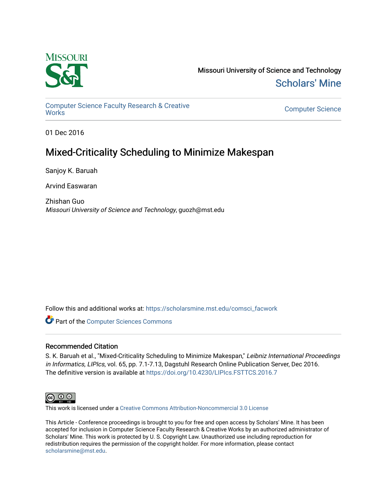

Missouri University of Science and Technology [Scholars' Mine](https://scholarsmine.mst.edu/) 

[Computer Science Faculty Research & Creative](https://scholarsmine.mst.edu/comsci_facwork)  [Works](https://scholarsmine.mst.edu/comsci_facwork) [Computer Science](https://scholarsmine.mst.edu/comsci) 

01 Dec 2016

# Mixed-Criticality Scheduling to Minimize Makespan

Sanjoy K. Baruah

Arvind Easwaran

Zhishan Guo Missouri University of Science and Technology, guozh@mst.edu

Follow this and additional works at: [https://scholarsmine.mst.edu/comsci\\_facwork](https://scholarsmine.mst.edu/comsci_facwork?utm_source=scholarsmine.mst.edu%2Fcomsci_facwork%2F415&utm_medium=PDF&utm_campaign=PDFCoverPages) 

Part of the [Computer Sciences Commons](http://network.bepress.com/hgg/discipline/142?utm_source=scholarsmine.mst.edu%2Fcomsci_facwork%2F415&utm_medium=PDF&utm_campaign=PDFCoverPages)

# Recommended Citation

S. K. Baruah et al., "Mixed-Criticality Scheduling to Minimize Makespan," Leibniz International Proceedings in Informatics, LIPIcs, vol. 65, pp. 7.1-7.13, Dagstuhl Research Online Publication Server, Dec 2016. The definitive version is available at <https://doi.org/10.4230/LIPIcs.FSTTCS.2016.7>



This work is licensed under a [Creative Commons Attribution-Noncommercial 3.0 License](https://creativecommons.org/licenses/by-nc/3.0/) 

This Article - Conference proceedings is brought to you for free and open access by Scholars' Mine. It has been accepted for inclusion in Computer Science Faculty Research & Creative Works by an authorized administrator of Scholars' Mine. This work is protected by U. S. Copyright Law. Unauthorized use including reproduction for redistribution requires the permission of the copyright holder. For more information, please contact [scholarsmine@mst.edu.](mailto:scholarsmine@mst.edu)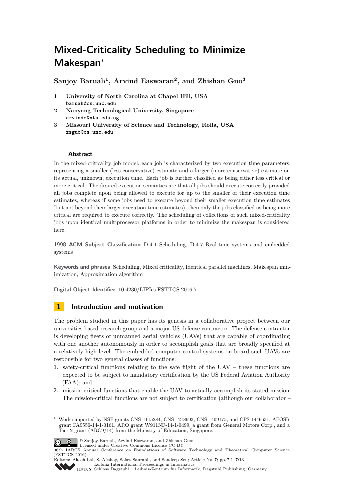# **Mixed-Criticality Scheduling to Minimize Makespan**<sup>∗</sup>

**Sanjoy Baruah<sup>1</sup> , Arvind Easwaran<sup>2</sup> , and Zhishan Guo<sup>3</sup>**

- **1 University of North Carolina at Chapel Hill, USA baruah@cs.unc.edu**
- **2 Nanyang Technological University, Singapore arvinde@ntu.edu.sg**
- **3 Missouri University of Science and Technology, Rolla, USA zsguo@cs.unc.edu**

## **Abstract**

In the mixed-criticality job model, each job is characterized by two execution time parameters, representing a smaller (less conservative) estimate and a larger (more conservative) estimate on its actual, unknown, execution time. Each job is further classified as being either less critical or more critical. The desired execution semantics are that all jobs should execute correctly provided all jobs complete upon being allowed to execute for up to the smaller of their execution time estimates, whereas if some jobs need to execute beyond their smaller execution time estimates (but not beyond their larger execution time estimates), then only the jobs classified as being more critical are required to execute correctly. The scheduling of collections of such mixed-criticality jobs upon identical multiprocessor platforms in order to minimize the makespan is considered here.

**1998 ACM Subject Classification** D.4.1 Scheduling, D.4.7 Real-time systems and embedded systems

**Keywords and phrases** Scheduling, Mixed criticality, Identical parallel machines, Makespan minimization, Approximation algorithm

**Digital Object Identifier** [10.4230/LIPIcs.FSTTCS.2016.7](http://dx.doi.org/10.4230/LIPIcs.FSTTCS.2016.7)

# **1 Introduction and motivation**

The problem studied in this paper has its genesis in a collaborative project between our universities-based research group and a major US defense contractor. The defense contractor is developing fleets of unmanned aerial vehicles (UAVs) that are capable of coordinating with one another autonomously in order to accomplish goals that are broadly specified at a relatively high level. The embedded computer control systems on board such UAVs are responsible for two general classes of functions:

- **1.** safety-critical functions relating to the safe flight of the UAV these functions are expected to be subject to mandatory certification by the US Federal Aviation Authority (FAA); and
- **2.** mission-critical functions that enable the UAV to actually accomplish its stated mission. The mission-critical functions are not subject to certification (although our collaborator –

<sup>∗</sup> Work supported by NSF grants CNS 1115284, CNS 1218693, CNS 1409175, and CPS 1446631, AFOSR grant FA9550-14-1-0161, ARO grant W911NF-14-1-0499, a grant from General Motors Corp., and a Tier-2 grant (ARC9/14) from the Ministry of Education, Singapore.



© Sanjoy Baruah, Arvind Easwaran, and Zhishan Guo; licensed under Creative Commons License CC-BY

<sup>36</sup>th IARCS Annual Conference on Foundations of Software Technology and Theoretical Computer Science (FSTTCS 2016).

Editors: Akash Lal, S. Akshay, Saket Saurabh, and Sandeep Sen; Article No. 7; pp. 7:1–7[:13](#page-13-0) [Leibniz International Proceedings in Informatics](http://www.dagstuhl.de/lipics/)

[Schloss Dagstuhl – Leibniz-Zentrum für Informatik, Dagstuhl Publishing, Germany](http://www.dagstuhl.de)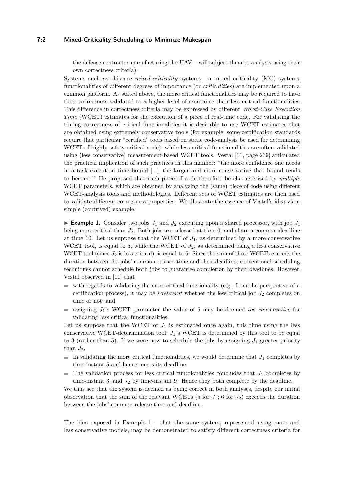## **7:2 Mixed-Criticality Scheduling to Minimize Makespan**

the defense contractor manufacturing the  $UAV -$  will subject them to analysis using their own correctness criteria).

Systems such as this are *mixed-criticality* systems; in mixed criticality (MC) systems, functionalities of different degrees of importance (or *criticalities*) are implemented upon a common platform. As stated above, the more critical functionalities may be required to have their correctness validated to a higher level of assurance than less critical functionalities. This difference in correctness criteria may be expressed by different *Worst-Case Execution Time* (WCET) estimates for the execution of a piece of real-time code. For validating the timing correctness of critical functionalities it is desirable to use WCET estimates that are obtained using extremely conservative tools (for example, some certification standards require that particular "certified" tools based on static code-analysis be used for determining WCET of highly safety-critical code), while less critical functionalities are often validated using (less conservative) measurement-based WCET tools. Vestal [\[11,](#page-13-1) page 239] articulated the practical implication of such practices in this manner: "the more confidence one needs in a task execution time bound [...] the larger and more conservative that bound tends to become." He proposed that each piece of code therefore be characterized by *multiple* WCET parameters, which are obtained by analyzing the (same) piece of code using different WCET-analysis tools and methodologies. Different sets of WCET estimates are then used to validate different correctness properties. We illustrate the essence of Vestal's idea via a simple (contrived) example.

<span id="page-2-0"></span>**Example 1.** Consider two jobs  $J_1$  and  $J_2$  executing upon a shared processor, with job  $J_1$ being more critical than *J*2. Both jobs are released at time 0, and share a common deadline at time 10. Let us suppose that the WCET of  $J_1$ , as determined by a more conservative WCET tool, is equal to 5, while the WCET of  $J_2$ , as determined using a less conservative WCET tool (since  $J_2$  is less critical), is equal to 6. Since the sum of these WCETs exceeds the duration between the jobs' common release time and their deadline, conventional scheduling techniques cannot schedule both jobs to guarantee completion by their deadlines. However, Vestal observed in [\[11\]](#page-13-1) that

- $\blacksquare$  with regards to validating the more critical functionality (e.g., from the perspective of a certification process), it may be *irrelevant* whether the less critical job  $J_2$  completes on time or not; and
- $\blacksquare$  assigning  $J_1$ 's WCET parameter the value of 5 may be deemed *too conservative* for validating less critical functionalities.

Let us suppose that the WCET of  $J_1$  is estimated once again, this time using the less conservative WCET-determination tool; *J*1's WCET is determined by this tool to be equal to 3 (rather than 5). If we were now to schedule the jobs by assigning  $J_1$  greater priority than  $J_2$ ,

- In validating the more critical functionalities, we would determine that  $J_1$  completes by time-instant 5 and hence meets its deadline.
- The validation process for less critical functionalities concludes that  $J_1$  completes by  $\mathcal{L}_{\mathcal{A}}$ time-instant 3, and  $J_2$  by time-instant 9. Hence they both complete by the deadline.

We thus see that the system is deemed as being correct in both analyses, despite our initial observation that the sum of the relevant WCETs (5 for  $J_1$ ; 6 for  $J_2$ ) exceeds the duration between the jobs' common release time and deadline.

The idea exposed in Example [1](#page-2-0) – that the same system, represented using more and less conservative models, may be demonstrated to satisfy different correctness criteria for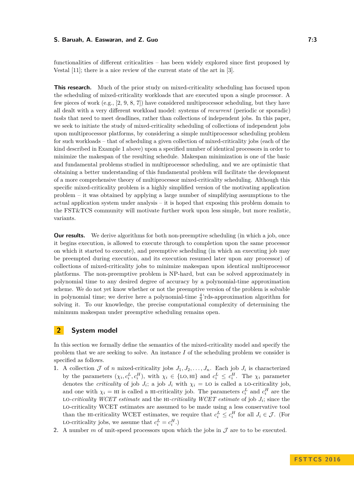functionalities of different criticalities – has been widely explored since first proposed by Vestal [\[11\]](#page-13-1); there is a nice review of the current state of the art in [\[3\]](#page-13-2).

**This research.** Much of the prior study on mixed-criticality scheduling has focused upon the scheduling of mixed-criticality workloads that are executed upon a single processor. A few pieces of work (e.g., [\[2,](#page-13-3) [9,](#page-13-4) [8,](#page-13-5) [7\]](#page-13-6)) have considered multiprocessor scheduling, but they have all dealt with a very different workload model: systems of *recurrent* (periodic or sporadic) *tasks* that need to meet deadlines, rather than collections of independent jobs. In this paper, we seek to initiate the study of mixed-criticality scheduling of collections of independent jobs upon multiprocessor platforms, by considering a simple multiprocessor scheduling problem for such workloads – that of scheduling a given collection of mixed-criticality jobs (each of the kind described in Example [1](#page-2-0) above) upon a specified number of identical processors in order to minimize the makespan of the resulting schedule. Makespan minimization is one of the basic and fundamental problems studied in multiprocessor scheduling, and we are optimistic that obtaining a better understanding of this fundamental problem will facilitate the development of a more comprehensive theory of multiprocessor mixed-criticality scheduling. Although this specific mixed-criticality problem is a highly simplified version of the motivating application problem – it was obtained by applying a large number of simplifying assumptions to the actual application system under analysis – it is hoped that exposing this problem domain to the FST&TCS community will motivate further work upon less simple, but more realistic, variants.

**Our results.** We derive algorithms for both non-preemptive scheduling (in which a job, once it begins execution, is allowed to execute through to completion upon the same processor on which it started to execute), and preemptive scheduling (in which an executing job may be preempted during execution, and its execution resumed later upon any processor) of collections of mixed-criticality jobs to minimize makespan upon identical multiprocessor platforms. The non-preemptive problem is NP-hard, but can be solved approximately in polynomial time to any desired degree of accuracy by a polynomial-time approximation scheme. We do not yet know whether or not the preemptive version of the problem is solvable in polynomial time; we derive here a polynomial-time  $\frac{4}{3}$ 'rds-approximation algorithm for solving it. To our knowledge, the precise computational complexity of determining the minimum makespan under preemptive scheduling remains open.

# **2 System model**

In this section we formally define the semantics of the mixed-criticality model and specify the problem that we are seeking to solve. An instance *I* of the scheduling problem we consider is specified as follows.

- **1.** A collection  $\mathcal J$  of *n* mixed-criticality jobs  $J_1, J_2, \ldots, J_n$ . Each job  $J_i$  is characterized by the parameters  $(\chi_i, c_i^L, c_i^H)$ , with  $\chi_i \in \{\text{LO}, \text{HI}\}\$ and  $c_i^L \leq c_i^H$ . The  $\chi_i$  parameter denotes the *criticality* of job  $J_i$ ; a job  $J_i$  with  $\chi_i =$  LO is called a LO-criticality job, and one with  $\chi_i$  = HI is called a HI-criticality job. The parameters  $c_i^L$  and  $c_i^H$  are the LO-criticality WCET estimate and the HI-criticality WCET estimate of job  $J_i$ ; since the lo-criticality WCET estimates are assumed to be made using a less conservative tool than the HI-criticality WCET estimates, we require that  $c_i^L \leq c_i^H$  for all  $J_i \in \mathcal{J}$ . (For LO-criticality jobs, we assume that  $c_i^L = c_i^H$ .)
- 2. A number  $m$  of unit-speed processors upon which the jobs in  $\mathcal J$  are to to be executed.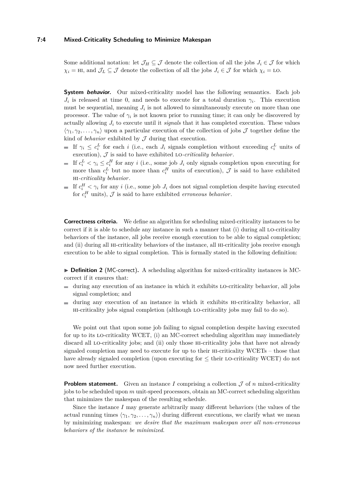#### **7:4 Mixed-Criticality Scheduling to Minimize Makespan**

Some additional notation: let  $\mathcal{J}_H \subseteq \mathcal{J}$  denote the collection of all the jobs  $J_i \in \mathcal{J}$  for which  $\chi_i = H$ *i*, and  $\mathcal{J}_L \subseteq \mathcal{J}$  denote the collection of all the jobs  $J_i \in \mathcal{J}$  for which  $\chi_i =$  LO.

**System behavior.** Our mixed-criticality model has the following semantics. Each job  $J_i$  is released at time 0, and needs to execute for a total duration  $\gamma_i$ . This execution must be sequential, meaning  $J_i$  is not allowed to simultaneously execute on more than one processor. The value of  $\gamma_i$  is not known prior to running time; it can only be discovered by actually allowing  $J_i$  to execute until it *signals* that it has completed execution. These values  $\langle \gamma_1, \gamma_2, \ldots, \gamma_n \rangle$  upon a particular execution of the collection of jobs J together define the kind of *behavior* exhibited by  $J$  during that execution.

- If  $\gamma_i \leq c_i^L$  for each *i* (i.e., each *J<sub>i</sub>* signals completion without exceeding  $c_i^L$  units of execution),  $J$  is said to have exhibited LO-*criticality behavior*.
- If  $c_i^L < \gamma_i \leq c_i^H$  for any *i* (i.e., some job  $J_i$  only signals completion upon executing for more than  $c_i^L$  but no more than  $c_i^H$  units of execution),  $\mathcal J$  is said to have exhibited hi*-criticality behavior*.
- If  $c_i^H \leq \gamma_i$  for any *i* (i.e., some job  $J_i$  does not signal completion despite having executed for  $c_i^H$  units),  $\mathcal J$  is said to have exhibited *erroneous behavior*.

**Correctness criteria.** We define an algorithm for scheduling mixed-criticality instances to be correct if it is able to schedule any instance in such a manner that (i) during all LO-criticality behaviors of the instance, all jobs receive enough execution to be able to signal completion; and (ii) during all HI-criticality behaviors of the instance, all HI-criticality jobs receive enough execution to be able to signal completion. This is formally stated in the following definition:

▶ **Definition 2** (MC-correct). A scheduling algorithm for mixed-criticality instances is MCcorrect if it ensures that:

- during any execution of an instance in which it exhibits lo-criticality behavior, all jobs ÷ signal completion; and
- during any execution of an instance in which it exhibits hi-criticality behavior, all  $\blacksquare$ hi-criticality jobs signal completion (although lo-criticality jobs may fail to do so).

We point out that upon some job failing to signal completion despite having executed for up to its lo-criticality WCET, (i) an MC-correct scheduling algorithm may immediately discard all lo-criticality jobs; and (ii) only those hi-criticality jobs that have not already signaled completion may need to execute for up to their hi-criticality WCETs – those that have already signaled completion (upon executing for  $\leq$  their LO-criticality WCET) do not now need further execution.

**Problem statement.** Given an instance *I* comprising a collection  $J$  of *n* mixed-criticality jobs to be scheduled upon *m* unit-speed processors, obtain an MC-correct scheduling algorithm that minimizes the makespan of the resulting schedule.

Since the instance *I* may generate arbitrarily many different behaviors (the values of the actual running times  $\langle \gamma_1, \gamma_2, \ldots, \gamma_n \rangle$  during different executions, we clarify what we mean by minimizing makespan: *we desire that the maximum makespan over all non-erroneous behaviors of the instance be minimized*.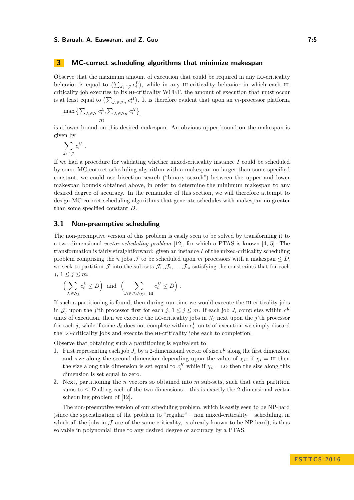## **3 MC-correct scheduling algorithms that minimize makespan**

Observe that the maximum amount of execution that could be required in any lo-criticality behavior is equal to  $(\sum_{J_i \in \mathcal{J}} c_i^L)$ , while in any H-criticality behavior in which each HIcriticality job executes to its hi-criticality WCET, the amount of execution that must occur is at least equal to  $(\sum_{J_i \in \mathcal{J}_H} c_i^H)$ . It is therefore evident that upon an *m*-processor platform,

$$
\frac{\max\left\{\sum_{J_i\in\mathcal{J}}c_i^L,\sum_{J_i\in\mathcal{J}_H}c_i^H\right\}}{m}
$$

is a lower bound on this desired makespan. An obvious upper bound on the makespan is given by

$$
\sum_{J_i \in \mathcal{J}} c_i^H.
$$

If we had a procedure for validating whether mixed-criticality instance *I* could be scheduled by some MC-correct scheduling algorithm with a makespan no larger than some specified constant, we could use bisection search ("binary search") between the upper and lower makespan bounds obtained above, in order to determine the minimum makespan to any desired degree of accuracy. In the remainder of this section, we will therefore attempt to design MC-correct scheduling algorithms that generate schedules with makespan no greater than some specified constant *D*.

# **3.1 Non-preemptive scheduling**

The non-preemptive version of this problem is easily seen to be solved by transforming it to a two-dimensional *vector scheduling problem* [\[12\]](#page-13-7), for which a PTAS is known [\[4,](#page-13-8) [5\]](#page-13-9). The transformation is fairly straightforward: given an instance *I* of the mixed-criticality scheduling problem comprising the *n* jobs  $\mathcal J$  to be scheduled upon *m* processors with a makespan  $\leq D$ , we seek to partition  $\mathcal J$  into the sub-sets  $\mathcal J_1, \mathcal J_2, \ldots, \mathcal J_m$  satisfying the constraints that for each  $j, 1 \leq j \leq m$ ,

$$
\left(\sum_{J_i \in \mathcal{J}_j} c_i^L \le D\right) \text{ and } \left(\sum_{J_i \in \mathcal{J}_j \wedge \chi_i = \mathbb{H}^1} c_i^H \le D\right).
$$

If such a partitioning is found, then during run-time we would execute the hi-criticality jobs in  $\mathcal{J}_j$  upon the *j*'th processor first for each  $j, 1 \leq j \leq m$ . If each job  $J_i$  completes within  $c_i^L$ units of execution, then we execute the LO-criticality jobs in  $\mathcal{J}_j$  next upon the *j*'th processor for each *j*, while if some  $J_i$  does not complete within  $c_i^L$  units of execution we simply discard the lo-criticality jobs and execute the hi-criticality jobs each to completion.

Observe that obtaining such a partitioning is equivalent to

- **1.** First representing each job  $J_i$  by a 2-dimensional vector of size  $c_i^L$  along the first dimension, and size along the second dimension depending upon the value of  $\chi_i$ : if  $\chi_i = H$  then the size along this dimension is set equal to  $c_i^H$  while if  $\chi_i =$  LO then the size along this dimension is set equal to zero.
- **2.** Next, partitioning the *n* vectors so obtained into *m* sub-sets, such that each partition sums to  $\leq D$  along each of the two dimensions – this is exactly the 2-dimensional vector scheduling problem of [\[12\]](#page-13-7).

The non-preemptive version of our scheduling problem, which is easily seen to be NP-hard (since the specialization of the problem to "regular" – non mixed-criticality – scheduling, in which all the jobs in  $\mathcal J$  are of the same criticality, is already known to be NP-hard), is thus solvable in polynomial time to any desired degree of accuracy by a PTAS.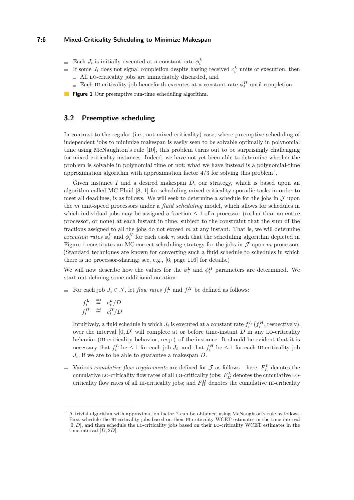## **7:6 Mixed-Criticality Scheduling to Minimize Makespan**

- <span id="page-6-1"></span>Each  $J_i$  is initially executed at a constant rate  $\phi_i^L$ 
	- If some  $J_i$  does not signal completion despite having received  $c_i^L$  units of execution, then All lo-criticality jobs are immediately discarded, and
		- Each HI-criticality job henceforth executes at a constant rate  $\phi_i^H$  until completion
- **Figure 1** Our preemptive run-time scheduling algorithm.

## <span id="page-6-2"></span>**3.2 Preemptive scheduling**

In contrast to the regular (i.e., not mixed-criticality) case, where preemptive scheduling of independent jobs to minimize makespan is easily seen to be solvable optimally in polynomial time using McNaughton's rule [\[10\]](#page-13-10), this problem turns out to be surprisingly challenging for mixed-criticality instances. Indeed, we have not yet been able to determine whether the problem is solvable in polynomial time or not; what we have instead is a polynomial-time approximation algorithm with approximation factor  $4/3$  for solving this problem<sup>[1](#page-6-0)</sup>.

Given instance *I* and a desired makespan *D*, our strategy, which is based upon an algorithm called MC-Fluid [\[8,](#page-13-5) [1\]](#page-13-11) for scheduling mixed-criticality sporadic tasks in order to meet all deadlines, is as follows. We will seek to determine a schedule for the jobs in  $\mathcal J$  upon the *m* unit-speed processors under a *fluid scheduling* model, which allows for schedules in which individual jobs may be assigned a fraction  $\leq 1$  of a processor (rather than an entire processor, or none) at each instant in time, subject to the constraint that the sum of the fractions assigned to all the jobs do not exceed *m* at any instant. That is, we will determine *execution rates*  $\phi_i^L$  and  $\phi_i^H$  for each task  $\tau_i$  such that the scheduling algorithm depicted in Figure [1](#page-6-1) constitutes an MC-correct scheduling strategy for the jobs in  $\mathcal J$  upon  $m$  processors. (Standard techniques are known for converting such a fluid schedule to schedules in which there is no processor-sharing; see, e.g., [\[6,](#page-13-12) page 116] for details.)

We will now describe how the values for the  $\phi_i^L$  and  $\phi_i^H$  parameters are determined. We start out defining some additional notation:

For each job  $J_i \in \mathcal{J}$ , let *flow rates*  $f_i^L$  and  $f_i^H$  be defined as follows:

$$
\begin{array}{rcl}\nf_i^L & \stackrel{\text{def}}{=} & c_i^L/D \\
f_i^H & \stackrel{\text{def}}{=} & c_i^H/D\n\end{array}
$$

Intuitively, a fluid schedule in which  $J_i$  is executed at a constant rate  $f_i^L$  ( $f_i^H$ , respectively), over the interval  $[0, D]$  will complete at or before time-instant  $D$  in any LO-criticality behavior (hi-criticality behavior, resp.) of the instance. It should be evident that it is necessary that  $f_i^L$  be  $\leq 1$  for each job  $J_i$ , and that  $f_i^H$  be  $\leq 1$  for each HI-criticality job *Ji* , if we are to be able to guarantee a makespan *D*.

Various *cumulative flow requirements* are defined for  $\mathcal{J}$  as follows – here,  $F_L^L$  denotes the  $\overline{a}$ cumulative LO-criticality flow rates of all LO-criticality jobs;  $F_H^L$  denotes the cumulative LOcriticality flow rates of all HI-criticality jobs; and  $F_H^H$  denotes the cumulative HI-criticality

<span id="page-6-0"></span><sup>1</sup> A trivial algorithm with approximation factor 2 can be obtained using McNaughton's rule as follows. First schedule the hi-criticality jobs based on their hi-criticality WCET estimates in the time interval [0, *D*], and then schedule the Lo-criticality jobs based on their Lo-criticality WCET estimates in the time interval [*D,* 2*D*].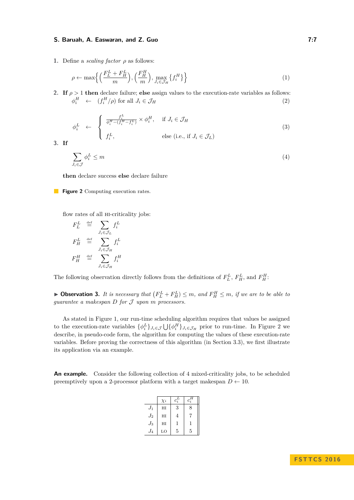<span id="page-7-0"></span>**1.** Define a *scaling factor ρ* as follows:

<span id="page-7-3"></span>
$$
\rho \leftarrow \max\left\{ \left( \frac{F_L^L + F_H^L}{m} \right), \left( \frac{F_H^H}{m} \right), \max_{J_i \in \mathcal{J}_H} \left\{ f_i^H \right\} \right\}
$$
(1)

**2. If**  $\rho > 1$  **then** declare failure; **else** assign values to the execution-rate variables as follows:  $\phi_i^H \leftarrow (f_i^H/\rho)$  for all  $J_i \in \mathcal{J}_H$  (2)

<span id="page-7-2"></span>
$$
\phi_i^L \leftarrow \begin{cases} \frac{f_i^L}{\phi_i^H - (f_i^H - f_i^L)} \times \phi_i^H, & \text{if } J_i \in \mathcal{J}_H \\ f_i^L, & \text{else (i.e., if } J_i \in \mathcal{J}_L) \end{cases} \tag{3}
$$

**3. If**

<span id="page-7-1"></span>
$$
\sum_{J_i \in \mathcal{J}} \phi_i^L \le m \tag{4}
$$

**then** declare success **else** declare failure

**Figure 2** Computing execution rates.

flow rates of all hi-criticality jobs:

$$
\begin{aligned}\nF_L^L &\stackrel{\text{def}}{=} \sum_{J_i \in \mathcal{J}_L} f_i^L \\
F_H^L &\stackrel{\text{def}}{=} \sum_{J_i \in \mathcal{J}_H} f_i^L \\
F_H^H &\stackrel{\text{def}}{=} \sum_{J_i \in \mathcal{J}_H} f_i^H\n\end{aligned}
$$

The following observation directly follows from the definitions of  $F_L^L$ ,  $F_H^L$ , and  $F_H^H$ :

<span id="page-7-4"></span>**Dbservation 3.** It is necessary that  $(F_L^L + F_H^L) \leq m$ , and  $F_H^H \leq m$ , if we are to be able to *guarantee a makespan D for* J *upon m processors.*

As stated in Figure [1,](#page-6-1) our run-time scheduling algorithm requires that values be assigned to the execution-rate variables  $\{\phi_i^L\}_{J_i \in \mathcal{J}} \bigcup \{\phi_i^H\}_{J_i \in \mathcal{J}_H}$  prior to run-time. In Figure [2](#page-7-0) we describe, in pseudo-code form, the algorithm for computing the values of these execution-rate variables. Before proving the correctness of this algorithm (in Section [3.3\)](#page-8-0), we first illustrate its application via an example.

An example. Consider the following collection of 4 mixed-criticality jobs, to be scheduled preemptively upon a 2-processor platform with a target makespan  $D \leftarrow 10$ .

|         | $\chi_i$ | $c_i^L$ | $c_i^{\bf \pi}$ |
|---------|----------|---------|-----------------|
| $J_1$   | HI       | 3       | 8               |
| $J_{2}$ | HI       | 4       |                 |
| $J_3$   | HI       | 1       | 1               |
| $J_{4}$ | LO       | 5       | 5               |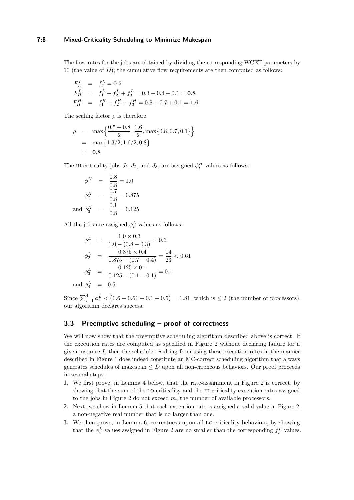## **7:8 Mixed-Criticality Scheduling to Minimize Makespan**

The flow rates for the jobs are obtained by dividing the corresponding WCET parameters by 10 (the value of  $D$ ); the cumulative flow requirements are then computed as follows:

$$
F_L^L = f_4^L = \mathbf{0.5}
$$
  
\n
$$
F_H^L = f_1^L + f_2^L + f_3^L = 0.3 + 0.4 + 0.1 = \mathbf{0.8}
$$
  
\n
$$
F_H^H = f_1^H + f_2^H + f_3^H = 0.8 + 0.7 + 0.1 = \mathbf{1.6}
$$

The scaling factor  $\rho$  is therefore

$$
\rho = \max \left\{ \frac{0.5 + 0.8}{2}, \frac{1.6}{2}, \max \{0.8, 0.7, 0.1\} \right\}
$$
  
=  $\max \{ 1.3/2, 1.6/2, 0.8 \}$   
= **0.8**

The HI-criticality jobs  $J_1, J_2$ , and  $J_3$ , are assigned  $\phi_i^H$  values as follows:

$$
\phi_1^H = \frac{0.8}{0.8} = 1.0
$$
  

$$
\phi_2^H = \frac{0.7}{0.8} = 0.875
$$
  
and 
$$
\phi_3^H = \frac{0.1}{0.8} = 0.125
$$

and *φ*

All the jobs are assigned  $\phi_i^L$  values as follows:

$$
\phi_1^L = \frac{1.0 \times 0.3}{1.0 - (0.8 - 0.3)} = 0.6
$$

$$
\phi_2^L = \frac{0.875 \times 0.4}{0.875 - (0.7 - 0.4)} = \frac{14}{23} < 0.61
$$

$$
\phi_3^L = \frac{0.125 \times 0.1}{0.125 - (0.1 - 0.1)} = 0.1
$$
and 
$$
\phi_4^L = 0.5
$$

Since  $\sum_{i=1}^{4} \phi_i^L < (0.6 + 0.61 + 0.1 + 0.5) = 1.81$ , which is  $\leq 2$  (the number of processors), our algorithm declares success.

# <span id="page-8-0"></span>**3.3 Preemptive scheduling – proof of correctness**

We will now show that the preemptive scheduling algorithm described above is correct: if the execution rates are computed as specified in Figure [2](#page-7-0) without declaring failure for a given instance  $I$ , then the schedule resulting from using these execution rates in the manner described in Figure [1](#page-6-1) does indeed constitute an MC-correct scheduling algorithm that always generates schedules of makespan  $\leq D$  upon all non-erroneous behaviors. Our proof proceeds in several steps.

- **1.** We first prove, in Lemma [4](#page-9-0) below, that the rate-assignment in Figure [2](#page-7-0) is correct, by showing that the sum of the lo-criticality and the hi-criticality execution rates assigned to the jobs in Figure [2](#page-7-0) do not exceed *m*, the number of available processors.
- **2.** Next, we show in Lemma [5](#page-9-1) that each execution rate is assigned a valid value in Figure [2:](#page-7-0) a non-negative real number that is no larger than one.
- **3.** We then prove, in Lemma [6,](#page-9-2) correctness upon all lo-criticality behaviors, by showing that the  $\phi_i^L$  values assigned in Figure [2](#page-7-0) are no smaller than the corresponding  $f_i^L$  values.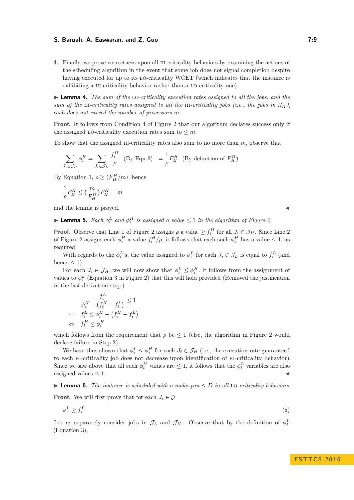**4.** Finally, we prove correctness upon all hi-criticality behaviors by examining the actions of the scheduling algorithm in the event that some job does not signal completion despite having executed for up to its lo-criticality WCET (which indicates that the instance is exhibiting a HI-criticality behavior rather than a LO-criticality one).

<span id="page-9-0"></span>I **Lemma 4.** *The sum of the* lo*-criticality execution rates assigned to all the jobs, and the sum of the* HI-criticality rates assigned to all the HI-criticality jobs (i.e., the jobs in  $\mathcal{J}_H$ ), *each does not exceed the number of processors m.*

**Proof.** It follows from Condition [4](#page-7-1) of Figure [2](#page-7-0) that our algorithm declares success only if the assigned LO-criticality execution rates sum to  $\leq m$ .

To show that the assigned hi-criticality rates also sum to no more than *m*, observe that

$$
\sum_{J_i \in \mathcal{J}_H} \phi_i^H = \sum_{J_i \in \mathcal{J}_H} \frac{f_i^H}{\rho} \quad \text{(By Eqn 2)} \quad = \frac{1}{\rho} F_H^H \quad \text{(By definition of } F_H^H)
$$

By Equation [1,](#page-7-3)  $\rho \geq (F_H^H/m)$ ; hence

$$
\frac{1}{\rho}F_H^H \leq \big(\frac{m}{F_H^H}\big)F_H^H = m
$$

and the lemma is proved.

<span id="page-9-1"></span>**Example 5.** Each  $\phi_i^L$  and  $\phi_i^H$  is assigned a value  $\leq 1$  in the algorithm of Figure [2.](#page-7-0)

**Proof.** Observe that Line [1](#page-7-3) of Figure [2](#page-7-2) assigns  $\rho$  a value  $\geq f_i^H$  for all  $J_i \in \mathcal{J}_H$ . Since Line 2 of Figure [2](#page-7-0) assigns each  $\phi_i^H$  a value  $f_i^H/\rho$ , it follows that each such  $\phi_i^H$  has a value  $\leq 1$ , as required.

With regards to the  $\phi_i^L$ 's, the value assigned to  $\phi_i^L$  for each  $J_i \in \mathcal{J}_L$  is equal to  $f_i^L$  (and hence  $\leq$  1).

For each  $J_i \in \mathcal{J}_H$ , we will now show that  $\phi_i^L \leq \phi_i^H$ . It follows from the assignment of values to  $\phi_i^L$  (Equation [3](#page-7-2) in Figure [2\)](#page-7-0) that this will hold provided (Removed the justification in the last derivation step.)

$$
\frac{f_i^L}{\phi_i^H - (f_i^H - f_i^L)} \le 1
$$
  
\n
$$
\Leftrightarrow f_i^L \le \phi_i^H - (f_i^H - f_i^L)
$$
  
\n
$$
\Leftrightarrow f_i^H \le \phi_i^H
$$

which follows from the requirement that  $\rho$  be  $\leq 1$  (else, the algorithm in Figure [2](#page-7-0) would declare failure in Step 2).

We have thus shown that  $\phi_i^L \leq \phi_i^H$  for each  $J_i \in \mathcal{J}_H$  (i.e., the execution rate guaranteed to each hi-criticality job does not *de*crease upon identification of hi-criticality behavior). Since we saw above that all such  $\phi_i^H$  values are  $\leq 1$ , it follows that the  $\phi_i^L$  variables are also assigned values  $\leq 1$ .

<span id="page-9-2"></span> $\triangleright$  **Lemma 6.** *The instance is scheduled with a makespan*  $\leq D$  *in all* LO-*criticality behaviors.* 

**Proof.** We will first prove that for each  $J_i \in \mathcal{J}$ 

$$
\phi_i^L \ge f_i^L \tag{5}
$$

Let us separately consider jobs in  $\mathcal{J}_L$  and  $\mathcal{J}_H$ . Observe that by the definition of  $\phi_i^L$ (Equation [3\)](#page-7-2),

#### **F S T T C S 2 0 1 6**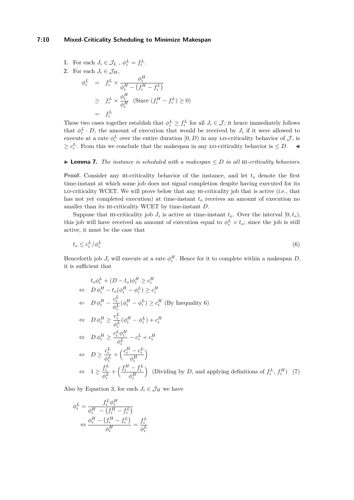## **7:10 Mixed-Criticality Scheduling to Minimize Makespan**

1. For each 
$$
J_i \in \mathcal{J}_L
$$
,  $\phi_i^L = f_i^L$ .  
\n2. For each  $J_i \in \mathcal{J}_H$ ,  
\n
$$
\phi_i^L = f_i^L \times \frac{\phi_i^H}{\phi_i^H - (f_i^H - f_i^L)}
$$
\n
$$
\geq f_i^L \times \frac{\phi_i^H}{\phi_i^H} \text{ (Since } (f_i^H - f_i^L) \geq 0)
$$
\n
$$
= f_i^L
$$

These two cases together establish that  $\phi_i^L \geq f_i^L$  for all  $J_i \in \mathcal{J}$ ; it hence immediately follows that  $\phi_i^L \cdot D$ , the amount of execution that would be received by  $J_i$  if it were allowed to execute at a rate  $\phi_i^L$  over the entire duration  $[0, D)$  in any LO-criticality behavior of  $\mathcal{J}$ , is  $\geq c_i^L$ . From this we conclude that the makespan in any LO-criticality behavior is ≤ *D*.  $\blacktriangleleft$ 

## $\blacktriangleright$  **Lemma 7.** *The instance is scheduled with a makespan*  $\leq D$  *in all* HI-*criticality behaviors.*

**Proof.** Consider any hi-criticality behavior of the instance, and let *t<sup>o</sup>* denote the first time-instant at which some job does not signal completion despite having executed for its lo-criticality WCET. We will prove below that any hi-criticality job that is active (i.e., that has not yet completed execution) at time-instant *t<sup>o</sup>* receives an amount of execution no smaller than its hi-criticality WCET by time-instant *D*.

Suppose that HI-criticality job  $J_i$  is active at time-instant  $t_o$ . Over the interval  $[0, t_o)$ , this job will have received an amount of execution equal to  $\phi_i^L \times t_o$ ; since the job is still active, it must be the case that

<span id="page-10-0"></span>
$$
t_o \le c_i^L / \phi_i^L \tag{6}
$$

Henceforth job  $J_i$  will execute at a rate  $\phi_i^H$ . Hence for it to complete within a makespan *D*, it is sufficient that

<span id="page-10-1"></span>
$$
t_o \phi_i^L + (D - t_o) \phi_i^H \ge c_i^H
$$
  
\n
$$
\Leftrightarrow D \phi_i^H - t_o (\phi_i^H - \phi_i^L) \ge c_i^H
$$
  
\n
$$
\Leftrightarrow D \phi_i^H - \frac{c_i^L}{\phi_i^L} (\phi_i^H - \phi_i^L) \ge c_i^H \text{ (By Inequality 6)}
$$
  
\n
$$
\Leftrightarrow D \phi_i^H \ge \frac{c_i^L}{\phi_i^L} (\phi_i^H - \phi_i^L) + c_i^H
$$
  
\n
$$
\Leftrightarrow D \phi_i^H \ge \frac{c_i^L \phi_i^H}{\phi_i^L} - c_i^L + c_i^H
$$
  
\n
$$
\Leftrightarrow D \ge \frac{c_i^L}{\phi_i^L} + \left(\frac{c_i^H - c_i^L}{\phi_i^H}\right)
$$
  
\n
$$
\Leftrightarrow 1 \ge \frac{f_i^L}{\phi_i^L} + \left(\frac{f_i^H - f_i^L}{\phi_i^H}\right) \text{ (Dividing by } D \text{, and applying definitions of } f_i^L, f_i^H) \tag{7}
$$

Also by Equation [3,](#page-7-2) for each  $J_i \in \mathcal{J}_H$  we have

$$
\begin{aligned} \phi_i^L = \frac{f_i^L \phi_i^H}{\phi_i^H - \left(f_i^H - f_i^L\right)}\\ \Leftrightarrow \frac{\phi_i^H - \left(f_i^H - f_i^L\right)}{\phi_i^H} = \frac{f_i^L}{\phi_i^L} \end{aligned}
$$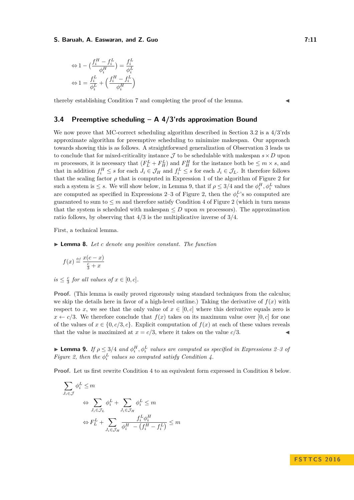$$
\Leftrightarrow 1 - \left(\frac{f_i^H - f_i^L}{\phi_i^H}\right) = \frac{f_i^L}{\phi_i^L}
$$

$$
\Leftrightarrow 1 = \frac{f_i^L}{\phi_i^L} + \left(\frac{f_i^H - f_i^L}{\phi_i^H}\right)
$$

thereby establishing Condition [7](#page-10-1) and completing the proof of the lemma.

## **3.4 Preemptive scheduling – A 4/3'rds approximation Bound**

We now prove that MC-correct scheduling algorithm described in Section [3.2](#page-6-2) is a 4*/*3'rds approximate algorithm for preemptive scheduling to minimize makespan. Our approach towards showing this is as follows. A straightforward generalization of Observation [3](#page-7-4) leads us to conclude that for mixed-criticality instance  $\mathcal J$  to be schedulable with makespan  $s \times D$  upon *m* processors, it is necessary that  $(F_L^L + F_H^L)$  and  $F_H^H$  for the instance both be  $\leq m \times s$ , and that in addition  $f_i^H \leq s$  for each  $J_i \in \mathcal{J}_H$  and  $f_i^L \leq s$  for each  $J_i \in \mathcal{J}_L$ . It therefore follows that the scaling factor  $\rho$  that is computed in Expression [1](#page-7-3) of the algorithm of Figure [2](#page-7-0) for such a system is  $\leq$  *s*. We will show below, in Lemma [9,](#page-11-0) that if  $\rho \leq 3/4$  and the  $\phi_i^H$ ,  $\phi_i^L$  values are computed as specified in Expressions [2–3](#page-7-2) of Figure [2,](#page-7-0) then the  $\phi_i^L$ 's so computed are guaranteed to sum to  $\leq m$  and therefore satisfy Condition [4](#page-7-1) of Figure [2](#page-7-0) (which in turn means that the system is scheduled with makespan  $\leq D$  upon *m* processors). The approximation ratio follows, by observing that 4*/*3 is the multiplicative inverse of 3*/*4.

First, a technical lemma.

<span id="page-11-1"></span>I **Lemma 8.** *Let c denote any positive constant. The function*

$$
f(x) \stackrel{\text{\tiny def}}{=} \frac{x(c-x)}{\frac{c}{3}+x}
$$

 $is \leq \frac{c}{3}$  *for all values of*  $x \in [0, c]$ *.* 

**Proof.** (This lemma is easily proved rigorously using standard techniques from the calculus; we skip the details here in favor of a high-level outline.) Taking the derivative of  $f(x)$  with respect to *x*, we see that the only value of  $x \in [0, c]$  where this derivative equals zero is  $x \leftarrow c/3$ . We therefore conclude that  $f(x)$  takes on its maximum value over [0, *c*] for one of the values of  $x \in \{0, c/3, c\}$ . Explicit computation of  $f(x)$  at each of these values reveals that the value is maximized at  $x = c/3$ , where it takes on the value  $c/3$ .

<span id="page-11-0"></span>**Expressions 9.** *If*  $\rho \leq 3/4$  *and*  $\phi_i^H$ ,  $\phi_i^L$  *values are computed as specified in Expressions* [2–3](#page-7-2) *of Figure* [2,](#page-7-0) then the  $\phi_i^L$  values so computed satisfy Condition [4.](#page-7-1)

**Proof.** Let us first rewrite Condition [4](#page-7-1) to an equivalent form expressed in Condition [8](#page-12-0) below.

$$
\sum_{J_i \in \mathcal{J}} \phi_i^L \leq m
$$
\n
$$
\Leftrightarrow \sum_{J_i \in \mathcal{J}_L} \phi_i^L + \sum_{J_i \in \mathcal{J}_H} \phi_i^L \leq m
$$
\n
$$
\Leftrightarrow F_L^L + \sum_{J_i \in \mathcal{J}_H} \frac{f_i^L \phi_i^H}{\phi_i^H - (f_i^H - f_i^L)} \leq m
$$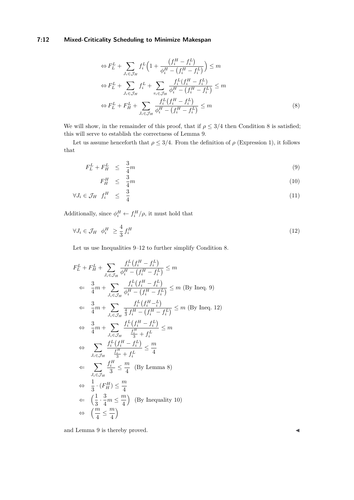# **7:12 Mixed-Criticality Scheduling to Minimize Makespan**

<span id="page-12-0"></span>
$$
\Leftrightarrow F_L^L + \sum_{J_i \in \mathcal{J}_H} f_i^L \left( 1 + \frac{\left(f_i^H - f_i^L\right)}{\phi_i^H - \left(f_i^H - f_i^L\right)} \right) \le m
$$
\n
$$
\Leftrightarrow F_L^L + \sum_{J_i \in \mathcal{J}_H} f_i^L + \sum_{\tau_i \in \mathcal{J}_H} \frac{f_i^L \left(f_i^H - f_i^L\right)}{\phi_i^H - \left(f_i^H - f_i^L\right)} \le m
$$
\n
$$
\Leftrightarrow F_L^L + F_H^L + \sum_{J_i \in \mathcal{J}_H} \frac{f_i^L \left(f_i^H - f_i^L\right)}{\phi_i^H - \left(f_i^H - f_i^L\right)} \le m
$$
\n(8)

We will show, in the remainder of this proof, that if  $\rho \leq 3/4$  then Condition [8](#page-12-0) is satisfied; this will serve to establish the correctness of Lemma [9.](#page-11-0)

Let us assume henceforth that  $\rho \leq 3/4$ . From the definition of  $\rho$  (Expression [1\)](#page-7-3), it follows that

<span id="page-12-1"></span>
$$
F_L^L + F_H^L \leq \frac{3}{4}m \tag{9}
$$

<span id="page-12-2"></span>
$$
F_H^H \leq \frac{3}{4}m \tag{10}
$$
\n
$$
I = \mathcal{I} \quad \mathcal{E}_H^H \leq \frac{3}{4}m \tag{11}
$$

$$
\forall J_i \in \mathcal{J}_H \ f_i^H \leq \frac{3}{4} \tag{11}
$$

Additionally, since  $\phi_i^H \leftarrow f_i^H / \rho$ , it must hold that

$$
\forall J_i \in \mathcal{J}_H \quad \phi_i^H \ge \frac{4}{3} f_i^H \tag{12}
$$

Let us use Inequalities [9–](#page-12-1)[12](#page-12-2) to further simplify Condition [8.](#page-12-0)

$$
F_L^L + F_H^L + \sum_{J_i \in \mathcal{J}_H} \frac{f_i^L(f_i^H - f_i^L)}{\phi_i^H - (f_i^H - f_i^L)} \le m
$$
  
\n
$$
\Leftarrow \frac{3}{4}m + \sum_{J_i \in \mathcal{J}_H} \frac{f_i^L(f_i^H - f_i^L)}{\phi_i^H - (f_i^H - f_i^L)} \le m \text{ (By Ineq. 9)}
$$
  
\n
$$
\Leftarrow \frac{3}{4}m + \sum_{J_i \in \mathcal{J}_H} \frac{f_i^L(f_i^H - f_i^L)}{\frac{4}{3}f_i^H - (f_i^H - f_i^L)} \le m \text{ (By Ineq. 12)}
$$
  
\n
$$
\Leftrightarrow \frac{3}{4}m + \sum_{J_i \in \mathcal{J}_H} \frac{f_i^L(f_i^H - f_i^L)}{\frac{f_i^H}{3} + f_i^L} \le m
$$
  
\n
$$
\Leftrightarrow \sum_{J_i \in \mathcal{J}_H} \frac{f_i^L(f_i^H - f_i^L)}{\frac{f_i^H}{3} + f_i^L} \le \frac{m}{4}
$$
  
\n
$$
\Leftarrow \sum_{J_i \in \mathcal{J}_H} \frac{f_i^H}{3} \le \frac{m}{4} \text{ (By Lemma 8)}
$$
  
\n
$$
\Leftrightarrow \frac{1}{3} \cdot (F_H^H) \le \frac{m}{4}
$$
  
\n
$$
\Leftarrow \left(\frac{1}{3} \cdot \frac{3}{4}m \le \frac{m}{4}\right) \text{ (By Inequality 10)}
$$
  
\n
$$
\Leftrightarrow \frac{m}{4} \le \frac{m}{4}
$$

and Lemma [9](#page-11-0) is thereby proved.  $\blacktriangleleft$